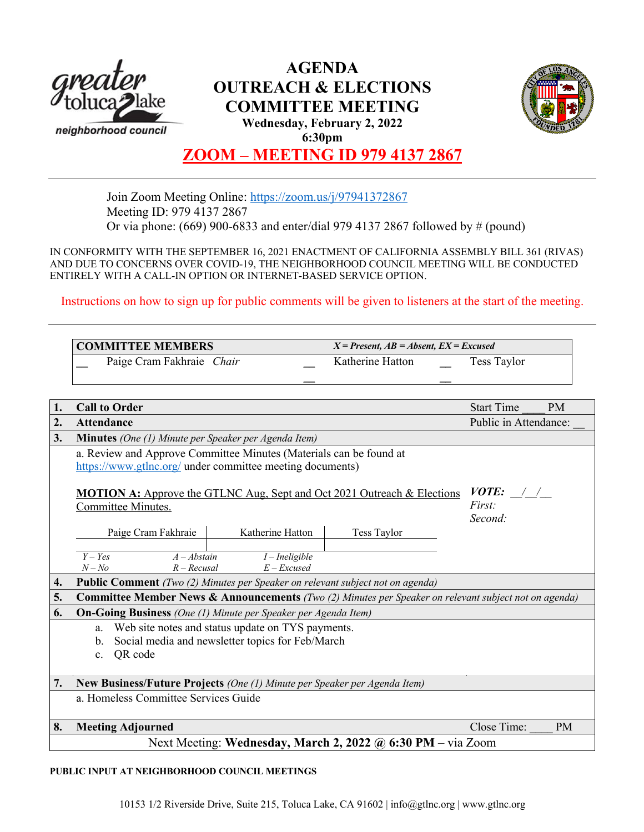

## **AGENDA OUTREACH & ELECTIONS COMMITTEE MEETING Wednesday, February 2, 2022 6:30pm**



# **ZOOM – MEETING ID 979 4137 2867**

Join Zoom Meeting Online: https://zoom.us/j/97941372867 Meeting ID: 979 4137 2867 Or via phone: (669) 900-6833 and enter/dial 979 4137 2867 followed by # (pound)

IN CONFORMITY WITH THE SEPTEMBER 16, 2021 ENACTMENT OF CALIFORNIA ASSEMBLY BILL 361 (RIVAS) AND DUE TO CONCERNS OVER COVID-19, THE NEIGHBORHOOD COUNCIL MEETING WILL BE CONDUCTED ENTIRELY WITH A CALL-IN OPTION OR INTERNET-BASED SERVICE OPTION.

Instructions on how to sign up for public comments will be given to listeners at the start of the meeting.

| <b>COMMITTEE MEMBERS</b> |                           | $X = Present, AB = Absent, EX = Excused$ |             |  |
|--------------------------|---------------------------|------------------------------------------|-------------|--|
|                          | Paige Cram Fakhraie Chair | Katherine Hatton                         | Tess Taylor |  |
|                          |                           |                                          |             |  |

| 1. | <b>Call to Order</b>                                                                                             | <b>Start Time</b>                               | <b>PM</b>   |             |           |  |  |  |  |
|----|------------------------------------------------------------------------------------------------------------------|-------------------------------------------------|-------------|-------------|-----------|--|--|--|--|
| 2. | <b>Attendance</b>                                                                                                | Public in Attendance:                           |             |             |           |  |  |  |  |
| 3. | <b>Minutes</b> (One (1) Minute per Speaker per Agenda Item)                                                      |                                                 |             |             |           |  |  |  |  |
|    | a. Review and Approve Committee Minutes (Materials can be found at                                               |                                                 |             |             |           |  |  |  |  |
|    | https://www.gtlnc.org/ under committee meeting documents)                                                        |                                                 |             |             |           |  |  |  |  |
|    | <b>MOTION A:</b> Approve the GTLNC Aug, Sept and Oct 2021 Outreach & Elections<br>Committee Minutes.             | <i>VOTE:</i> $\frac{1}{2}$<br>First:<br>Second: |             |             |           |  |  |  |  |
|    | Paige Cram Fakhraie<br>Katherine Hatton                                                                          |                                                 | Tess Taylor |             |           |  |  |  |  |
|    |                                                                                                                  |                                                 |             |             |           |  |  |  |  |
|    | $Y - Yes$<br>$A - Abstain$                                                                                       | $I$ – Ineligible                                |             |             |           |  |  |  |  |
|    | $N - No$<br>$R - Recusal$                                                                                        | $E$ – Excused                                   |             |             |           |  |  |  |  |
| 4. | <b>Public Comment</b> (Two (2) Minutes per Speaker on relevant subject not on agenda)                            |                                                 |             |             |           |  |  |  |  |
| 5. | <b>Committee Member News &amp; Announcements</b> (Two (2) Minutes per Speaker on relevant subject not on agenda) |                                                 |             |             |           |  |  |  |  |
| 6. | <b>On-Going Business</b> (One (1) Minute per Speaker per Agenda Item)                                            |                                                 |             |             |           |  |  |  |  |
|    | Web site notes and status update on TYS payments.<br>a.                                                          |                                                 |             |             |           |  |  |  |  |
|    | Social media and newsletter topics for Feb/March<br>b.                                                           |                                                 |             |             |           |  |  |  |  |
|    | QR code<br>$c_{\cdot}$                                                                                           |                                                 |             |             |           |  |  |  |  |
|    |                                                                                                                  |                                                 |             |             |           |  |  |  |  |
| 7. | New Business/Future Projects (One (1) Minute per Speaker per Agenda Item)                                        |                                                 |             |             |           |  |  |  |  |
|    | a. Homeless Committee Services Guide                                                                             |                                                 |             |             |           |  |  |  |  |
|    |                                                                                                                  |                                                 |             |             |           |  |  |  |  |
| 8. | <b>Meeting Adjourned</b>                                                                                         |                                                 |             | Close Time: | <b>PM</b> |  |  |  |  |
|    | Next Meeting: Wednesday, March 2, 2022 @ 6:30 PM – via Zoom                                                      |                                                 |             |             |           |  |  |  |  |
|    |                                                                                                                  |                                                 |             |             |           |  |  |  |  |

### **PUBLIC INPUT AT NEIGHBORHOOD COUNCIL MEETINGS**